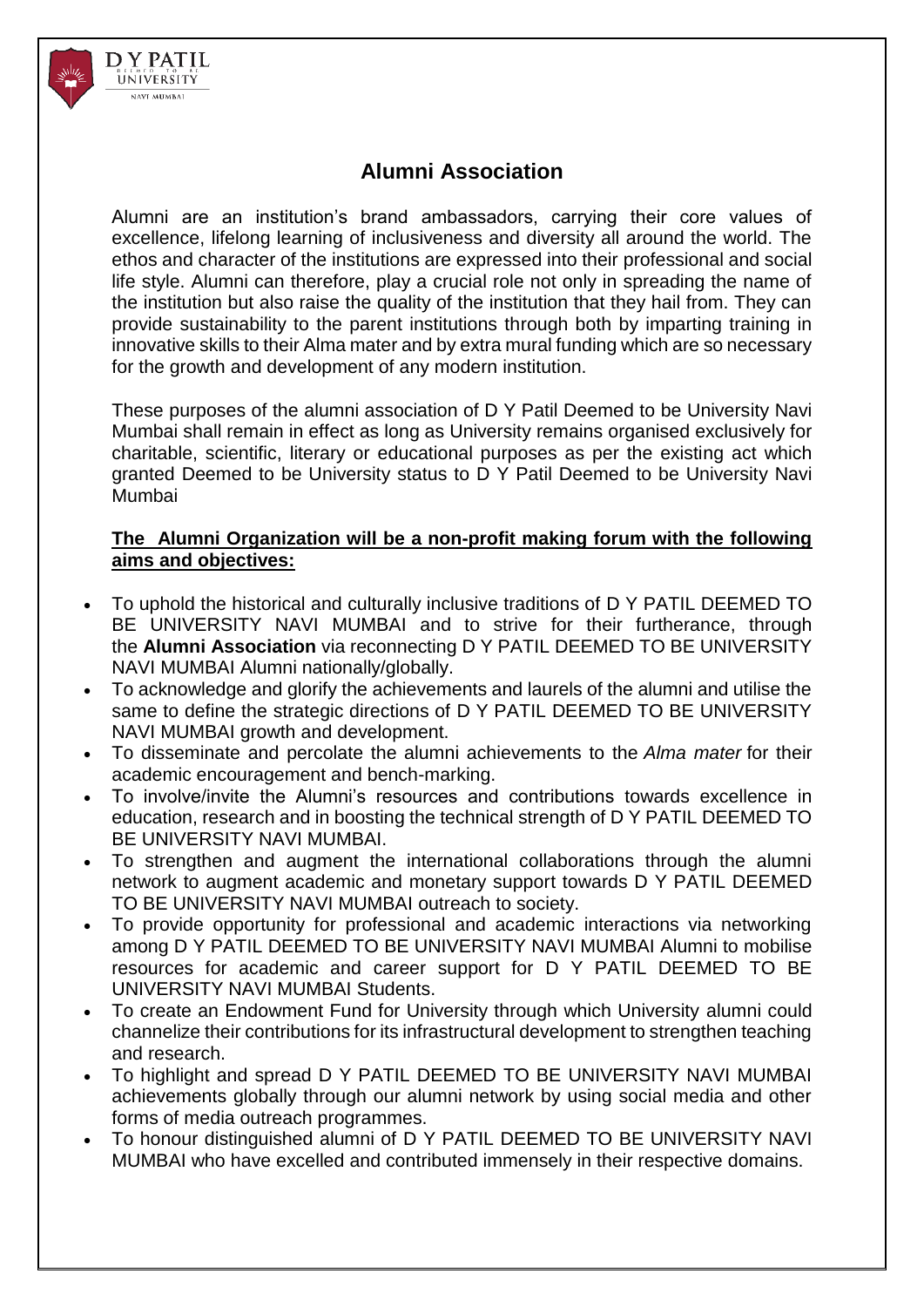

## **Alumni Association**

Alumni are an institution's brand ambassadors, carrying their core values of excellence, lifelong learning of inclusiveness and diversity all around the world. The ethos and character of the institutions are expressed into their professional and social life style. Alumni can therefore, play a crucial role not only in spreading the name of the institution but also raise the quality of the institution that they hail from. They can provide sustainability to the parent institutions through both by imparting training in innovative skills to their Alma mater and by extra mural funding which are so necessary for the growth and development of any modern institution.

These purposes of the alumni association of D Y Patil Deemed to be University Navi Mumbai shall remain in effect as long as University remains organised exclusively for charitable, scientific, literary or educational purposes as per the existing act which granted Deemed to be University status to D Y Patil Deemed to be University Navi Mumbai

## **The Alumni Organization will be a non-profit making forum with the following aims and objectives:**

- To uphold the historical and culturally inclusive traditions of D Y PATIL DEEMED TO BE UNIVERSITY NAVI MUMBAI and to strive for their furtherance, through the **Alumni Association** via reconnecting D Y PATIL DEEMED TO BE UNIVERSITY NAVI MUMBAI Alumni nationally/globally.
- To acknowledge and glorify the achievements and laurels of the alumni and utilise the same to define the strategic directions of D Y PATIL DEEMED TO BE UNIVERSITY NAVI MUMBAI growth and development.
- To disseminate and percolate the alumni achievements to the *Alma mater* for their academic encouragement and bench-marking.
- To involve/invite the Alumni's resources and contributions towards excellence in education, research and in boosting the technical strength of D Y PATIL DEEMED TO BE UNIVERSITY NAVI MUMBAI.
- To strengthen and augment the international collaborations through the alumni network to augment academic and monetary support towards D Y PATIL DEEMED TO BE UNIVERSITY NAVI MUMBAI outreach to society.
- To provide opportunity for professional and academic interactions via networking among D Y PATIL DEEMED TO BE UNIVERSITY NAVI MUMBAI Alumni to mobilise resources for academic and career support for D Y PATIL DEEMED TO BE UNIVERSITY NAVI MUMBAI Students.
- To create an Endowment Fund for University through which University alumni could channelize their contributions for its infrastructural development to strengthen teaching and research.
- To highlight and spread D Y PATIL DEEMED TO BE UNIVERSITY NAVI MUMBAI achievements globally through our alumni network by using social media and other forms of media outreach programmes.
- To honour distinguished alumni of D Y PATIL DEEMED TO BE UNIVERSITY NAVI MUMBAI who have excelled and contributed immensely in their respective domains.